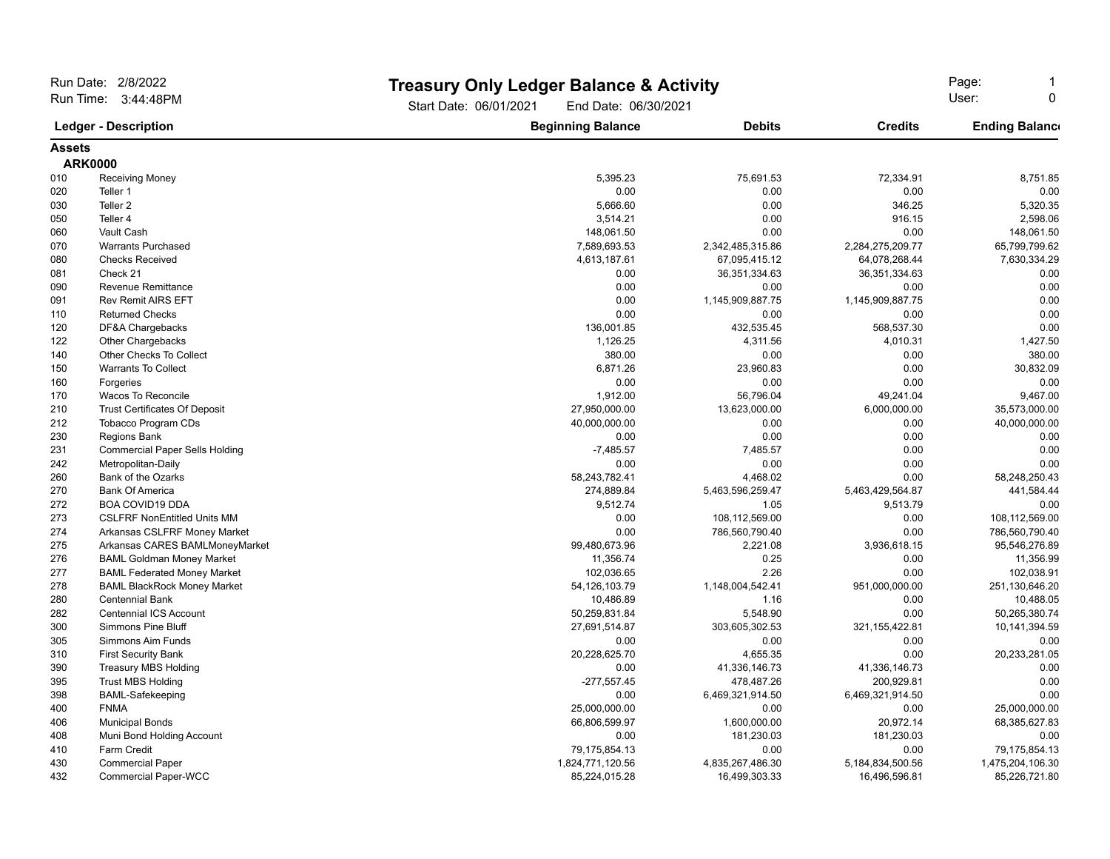| Run Date: 2/8/2022                                 |                                        |                                                | <b>Treasury Only Ledger Balance &amp; Activity</b> |                      |                       |
|----------------------------------------------------|----------------------------------------|------------------------------------------------|----------------------------------------------------|----------------------|-----------------------|
| Run Time: 3:44:48PM<br><b>Ledger - Description</b> |                                        | Start Date: 06/01/2021<br>End Date: 06/30/2021 | Page:<br>User:<br>$\Omega$                         |                      |                       |
|                                                    |                                        | <b>Beginning Balance</b>                       | <b>Debits</b>                                      | <b>Credits</b>       | <b>Ending Balance</b> |
| <b>Assets</b>                                      |                                        |                                                |                                                    |                      |                       |
|                                                    | <b>ARK0000</b>                         |                                                |                                                    |                      |                       |
| 010                                                | <b>Receiving Money</b>                 | 5,395.23                                       | 75,691.53                                          | 72,334.91            | 8,751.85              |
| 020                                                | Teller 1                               | 0.00                                           | 0.00                                               | 0.00                 | 0.00                  |
| 030                                                | Teller <sub>2</sub>                    | 5,666.60                                       | 0.00                                               | 346.25               | 5,320.35              |
| 050                                                | Teller 4                               | 3,514.21                                       | 0.00                                               | 916.15               | 2,598.06              |
| 060                                                | Vault Cash                             | 148,061.50                                     | 0.00                                               | 0.00                 | 148,061.50            |
| 070                                                | <b>Warrants Purchased</b>              | 7,589,693.53                                   | 2,342,485,315.86                                   | 2,284,275,209.77     | 65,799,799.62         |
| 080                                                | <b>Checks Received</b>                 | 4,613,187.61                                   | 67,095,415.12                                      | 64,078,268.44        | 7,630,334.29          |
| 081                                                | Check 21                               | 0.00                                           | 36, 351, 334. 63                                   | 36, 351, 334. 63     | 0.00                  |
| 090                                                | <b>Revenue Remittance</b>              | 0.00                                           | 0.00                                               | 0.00                 | 0.00                  |
| 091                                                | <b>Rev Remit AIRS EFT</b>              | 0.00                                           | 1,145,909,887.75                                   | 1,145,909,887.75     | 0.00                  |
| 110                                                | <b>Returned Checks</b>                 | 0.00                                           | 0.00                                               | 0.00                 | 0.00                  |
| 120                                                | DF&A Chargebacks                       | 136,001.85                                     | 432,535.45                                         | 568,537.30           | 0.00                  |
| 122                                                | <b>Other Chargebacks</b>               | 1,126.25                                       | 4,311.56                                           | 4,010.31             | 1,427.50              |
| 140                                                | Other Checks To Collect                | 380.00                                         | 0.00                                               | 0.00                 | 380.00                |
| 150                                                | <b>Warrants To Collect</b>             | 6,871.26                                       | 23,960.83                                          | 0.00                 | 30,832.09             |
| 160                                                | Forgeries                              | 0.00                                           | 0.00                                               | 0.00                 | 0.00                  |
| 170                                                | Wacos To Reconcile                     | 1,912.00                                       | 56,796.04                                          | 49,241.04            | 9,467.00              |
| 210                                                | <b>Trust Certificates Of Deposit</b>   | 27,950,000.00                                  | 13,623,000.00                                      | 6,000,000.00         | 35,573,000.00         |
| 212                                                | Tobacco Program CDs                    | 40,000,000.00                                  | 0.00                                               | 0.00                 | 40,000,000.00         |
| 230                                                | <b>Regions Bank</b>                    | 0.00                                           | 0.00                                               | 0.00                 | 0.00                  |
| 231                                                | <b>Commercial Paper Sells Holding</b>  | $-7,485.57$                                    | 7,485.57                                           | 0.00                 | 0.00                  |
| 242                                                | Metropolitan-Daily                     | 0.00                                           | 0.00                                               | 0.00                 | 0.00                  |
| 260                                                | Bank of the Ozarks                     | 58,243,782.41                                  | 4,468.02                                           | 0.00                 | 58,248,250.43         |
| 270                                                | <b>Bank Of America</b>                 | 274,889.84                                     | 5,463,596,259.47                                   | 5,463,429,564.87     | 441,584.44            |
| 272                                                | <b>BOA COVID19 DDA</b>                 | 9,512.74                                       | 1.05                                               | 9,513.79             | 0.00                  |
| 273                                                | <b>CSLFRF NonEntitled Units MM</b>     | 0.00                                           | 108,112,569.00                                     | 0.00                 | 108,112,569.00        |
| 274                                                | Arkansas CSLFRF Money Market           | 0.00                                           | 786,560,790.40                                     | 0.00                 | 786,560,790.40        |
| 275                                                | Arkansas CARES BAMLMoneyMarket         | 99,480,673.96                                  | 2,221.08                                           | 3,936,618.15         | 95,546,276.89         |
| 276                                                | <b>BAML Goldman Money Market</b>       | 11,356.74                                      | 0.25                                               | 0.00                 | 11,356.99             |
| 277                                                | <b>BAML Federated Money Market</b>     | 102,036.65                                     | 2.26                                               | 0.00                 | 102.038.91            |
| 278                                                | <b>BAML BlackRock Money Market</b>     | 54, 126, 103.79                                | 1,148,004,542.41                                   | 951,000,000.00       | 251,130,646.20        |
| 280                                                | <b>Centennial Bank</b>                 | 10,486.89                                      | 1.16                                               | 0.00                 | 10,488.05             |
| 282                                                | <b>Centennial ICS Account</b>          | 50,259,831.84                                  | 5,548.90                                           | 0.00                 | 50,265,380.74         |
| 300                                                | <b>Simmons Pine Bluff</b>              | 27,691,514.87                                  | 303,605,302.53                                     | 321, 155, 422.81     | 10,141,394.59         |
| 305                                                | Simmons Aim Funds                      | 0.00                                           | 0.00<br>4,655.35                                   | 0.00<br>0.00         | 0.00                  |
| 310<br>390                                         | <b>First Security Bank</b>             | 20,228,625.70                                  | 41,336,146.73                                      | 41,336,146.73        | 20,233,281.05<br>0.00 |
| 395                                                | <b>Treasury MBS Holding</b>            | 0.00                                           | 478,487.26                                         | 200,929.81           | 0.00                  |
| 398                                                | <b>Trust MBS Holding</b>               | $-277,557.45$<br>0.00                          | 6,469,321,914.50                                   | 6,469,321,914.50     | 0.00                  |
| 400                                                | <b>BAML-Safekeeping</b><br><b>FNMA</b> | 25,000,000.00                                  | 0.00                                               | 0.00                 | 25,000,000.00         |
| 406                                                | <b>Municipal Bonds</b>                 | 66,806,599.97                                  | 1,600,000.00                                       | 20,972.14            | 68,385,627.83         |
| 408                                                | Muni Bond Holding Account              | 0.00                                           | 181,230.03                                         | 181,230.03           | 0.00                  |
| 410                                                | Farm Credit                            | 79,175,854.13                                  | 0.00                                               | 0.00                 | 79,175,854.13         |
| 430                                                | <b>Commercial Paper</b>                | 1,824,771,120.56                               | 4,835,267,486.30                                   | 5, 184, 834, 500. 56 | 1,475,204,106.30      |
| 432                                                | <b>Commercial Paper-WCC</b>            | 85,224,015.28                                  | 16,499,303.33                                      | 16,496,596.81        | 85,226,721.80         |
|                                                    |                                        |                                                |                                                    |                      |                       |